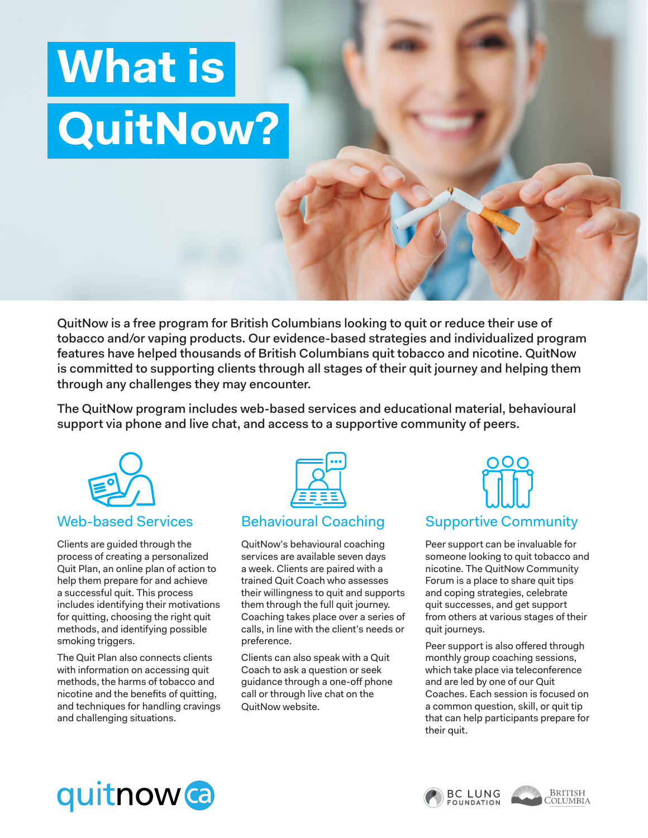# **What is QuitNow?**

QuitNow is a free program for British Columbians looking to quit or reduce their use of tobacco and/or vaping products. Our evidence-based strategies and individualized program features have helped thousands of British Columbians quit tobacco and nicotine. QuitNow is committed to supporting clients through all stages of their quit journey and helping them through any challenges they may encounter.

The QuitNow program includes web-based services and educational material, behavioural support via phone and live chat, and access to a supportive community of peers.



Clients are guided through the process of creating a personalized Quit Plan, an online plan of action to help them prepare for and achieve a successful quit. This process includes identifying their motivations for quitting, choosing the right quit methods, and identifying possible smoking triggers.

The Quit Plan also connects clients with information on accessing quit methods, the harms of tobacco and nicotine and the benefits of quitting, and techniques for handling cravings and challenging situations.



### Behavioural Coaching

QuitNow's behavioural coaching services are available seven days a week. Clients are paired with a trained Quit Coach who assesses their willingness to quit and supports them through the full quit journey. Coaching takes place over a series of calls, in line with the client's needs or preference.

Clients can also speak with a Quit Coach to ask a question or seek guidance through a one-off phone call or through live chat on the QuitNow website.



Peer support can be invaluable for someone looking to quit tobacco and nicotine. The QuitNow Community Forum is a place to share quit tips and coping strategies, celebrate quit successes, and get support from others at various stages of their quit journeys.

Peer support is also offered through monthly group coaching sessions, which take place via teleconference and are led by one of our Quit Coaches. Each session is focused on a common question, skill, or quit tip that can help participants prepare for their quit.